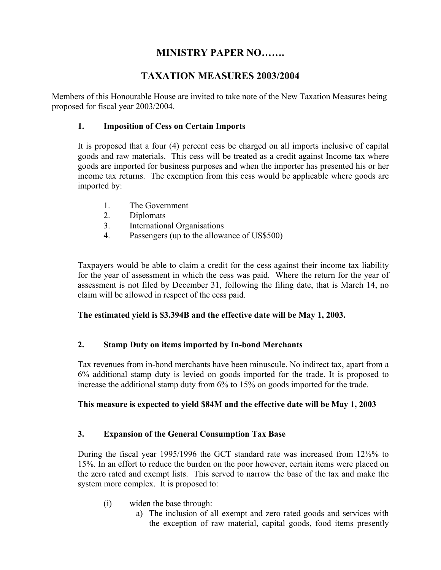# **MINISTRY PAPER NO…….**

## **TAXATION MEASURES 2003/2004**

Members of this Honourable House are invited to take note of the New Taxation Measures being proposed for fiscal year 2003/2004.

### **1. Imposition of Cess on Certain Imports**

It is proposed that a four (4) percent cess be charged on all imports inclusive of capital goods and raw materials. This cess will be treated as a credit against Income tax where goods are imported for business purposes and when the importer has presented his or her income tax returns. The exemption from this cess would be applicable where goods are imported by:

- 1. The Government
- 2. Diplomats
- 3. International Organisations
- 4. Passengers (up to the allowance of US\$500)

Taxpayers would be able to claim a credit for the cess against their income tax liability for the year of assessment in which the cess was paid. Where the return for the year of assessment is not filed by December 31, following the filing date, that is March 14, no claim will be allowed in respect of the cess paid.

### **The estimated yield is \$3.394B and the effective date will be May 1, 2003.**

### **2. Stamp Duty on items imported by In-bond Merchants**

Tax revenues from in-bond merchants have been minuscule. No indirect tax, apart from a 6% additional stamp duty is levied on goods imported for the trade. It is proposed to increase the additional stamp duty from 6% to 15% on goods imported for the trade.

### **This measure is expected to yield \$84M and the effective date will be May 1, 2003**

### **3. Expansion of the General Consumption Tax Base**

During the fiscal year 1995/1996 the GCT standard rate was increased from 12½% to 15%. In an effort to reduce the burden on the poor however, certain items were placed on the zero rated and exempt lists. This served to narrow the base of the tax and make the system more complex. It is proposed to:

- (i) widen the base through:
	- a) The inclusion of all exempt and zero rated goods and services with the exception of raw material, capital goods, food items presently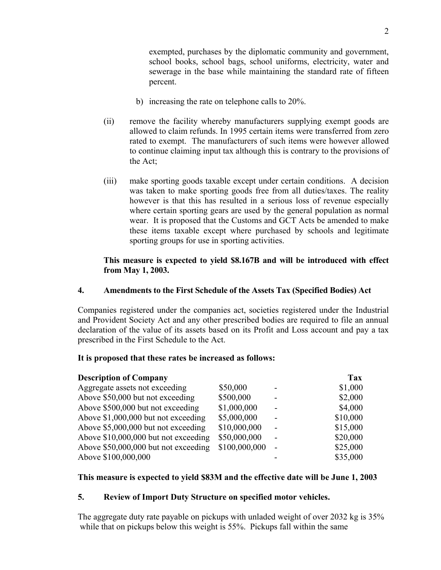exempted, purchases by the diplomatic community and government, school books, school bags, school uniforms, electricity, water and sewerage in the base while maintaining the standard rate of fifteen percent.

- b) increasing the rate on telephone calls to 20%.
- (ii) remove the facility whereby manufacturers supplying exempt goods are allowed to claim refunds. In 1995 certain items were transferred from zero rated to exempt. The manufacturers of such items were however allowed to continue claiming input tax although this is contrary to the provisions of the Act;
- (iii) make sporting goods taxable except under certain conditions. A decision was taken to make sporting goods free from all duties/taxes. The reality however is that this has resulted in a serious loss of revenue especially where certain sporting gears are used by the general population as normal wear. It is proposed that the Customs and GCT Acts be amended to make these items taxable except where purchased by schools and legitimate sporting groups for use in sporting activities.

#### **This measure is expected to yield \$8.167B and will be introduced with effect from May 1, 2003.**

### **4. Amendments to the First Schedule of the Assets Tax (Specified Bodies) Act**

Companies registered under the companies act, societies registered under the Industrial and Provident Society Act and any other prescribed bodies are required to file an annual declaration of the value of its assets based on its Profit and Loss account and pay a tax prescribed in the First Schedule to the Act.

#### **It is proposed that these rates be increased as follows:**

| <b>Description of Company</b>        |               |                          | Tax      |
|--------------------------------------|---------------|--------------------------|----------|
| Aggregate assets not exceeding       | \$50,000      | -                        | \$1,000  |
| Above \$50,000 but not exceeding     | \$500,000     |                          | \$2,000  |
| Above \$500,000 but not exceeding    | \$1,000,000   |                          | \$4,000  |
| Above \$1,000,000 but not exceeding  | \$5,000,000   |                          | \$10,000 |
| Above \$5,000,000 but not exceeding  | \$10,000,000  |                          | \$15,000 |
| Above \$10,000,000 but not exceeding | \$50,000,000  | $\overline{\phantom{0}}$ | \$20,000 |
| Above \$50,000,000 but not exceeding | \$100,000,000 | L,                       | \$25,000 |
| Above \$100,000,000                  |               |                          | \$35,000 |

#### **This measure is expected to yield \$83M and the effective date will be June 1, 2003**

#### **5. Review of Import Duty Structure on specified motor vehicles.**

The aggregate duty rate payable on pickups with unladed weight of over 2032 kg is 35% while that on pickups below this weight is 55%. Pickups fall within the same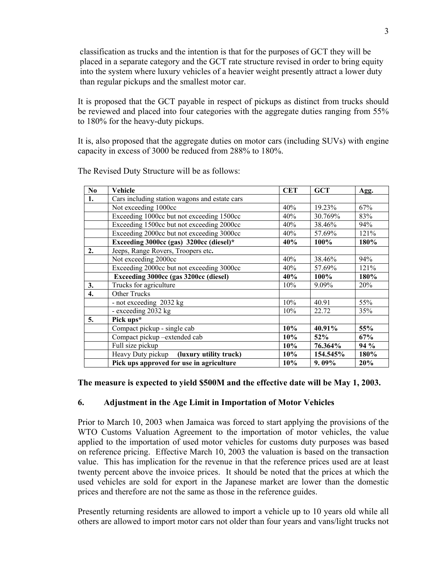classification as trucks and the intention is that for the purposes of GCT they will be placed in a separate category and the GCT rate structure revised in order to bring equity into the system where luxury vehicles of a heavier weight presently attract a lower duty than regular pickups and the smallest motor car.

It is proposed that the GCT payable in respect of pickups as distinct from trucks should be reviewed and placed into four categories with the aggregate duties ranging from 55% to 180% for the heavy-duty pickups.

It is, also proposed that the aggregate duties on motor cars (including SUVs) with engine capacity in excess of 3000 be reduced from 288% to 180%.

| N <sub>0</sub> | <b>Vehicle</b>                                | <b>CET</b> | <b>GCT</b> | Agg. |
|----------------|-----------------------------------------------|------------|------------|------|
| 1.             | Cars including station wagons and estate cars |            |            |      |
|                | Not exceeding 1000cc                          | 40%        | 19.23%     | 67%  |
|                | Exceeding 1000cc but not exceeding 1500cc     | 40%        | 30.769%    | 83%  |
|                | Exceeding 1500cc but not exceeding 2000cc     | 40%        | 38.46%     | 94%  |
|                | Exceeding 2000cc but not exceeding 3000cc     | 40%        | 57.69%     | 121% |
|                | Exceeding 3000cc (gas) 3200cc (diesel)*       | 40%        | 100%       | 180% |
| 2.             | Jeeps, Range Rovers, Troopers etc.            |            |            |      |
|                | Not exceeding 2000cc                          | 40%        | 38.46%     | 94%  |
|                | Exceeding 2000cc but not exceeding 3000cc     | 40%        | 57.69%     | 121% |
|                | Exceeding 3000cc (gas 3200cc (diesel)         | 40%        | 100%       | 180% |
| 3.             | Trucks for agriculture                        | 10%        | 9.09%      | 20%  |
| 4.             | <b>Other Trucks</b>                           |            |            |      |
|                | - not exceeding 2032 kg                       | 10%        | 40.91      | 55%  |
|                | - exceeding 2032 kg                           | 10%        | 22.72      | 35%  |
| 5.             | Pick ups*                                     |            |            |      |
|                | Compact pickup - single cab                   | 10%        | 40.91%     | 55%  |
|                | Compact pickup -extended cab                  | 10%        | 52%        | 67%  |
|                | Full size pickup                              | 10%        | 76.364%    | 94 % |
|                | Heavy Duty pickup<br>(luxury utility truck)   | 10%        | 154.545%   | 180% |
|                | Pick ups approved for use in agriculture      | 10%        | 9.09%      | 20%  |

The Revised Duty Structure will be as follows:

#### **The measure is expected to yield \$500M and the effective date will be May 1, 2003.**

#### **6. Adjustment in the Age Limit in Importation of Motor Vehicles**

Prior to March 10, 2003 when Jamaica was forced to start applying the provisions of the WTO Customs Valuation Agreement to the importation of motor vehicles, the value applied to the importation of used motor vehicles for customs duty purposes was based on reference pricing. Effective March 10, 2003 the valuation is based on the transaction value. This has implication for the revenue in that the reference prices used are at least twenty percent above the invoice prices. It should be noted that the prices at which the used vehicles are sold for export in the Japanese market are lower than the domestic prices and therefore are not the same as those in the reference guides.

Presently returning residents are allowed to import a vehicle up to 10 years old while all others are allowed to import motor cars not older than four years and vans/light trucks not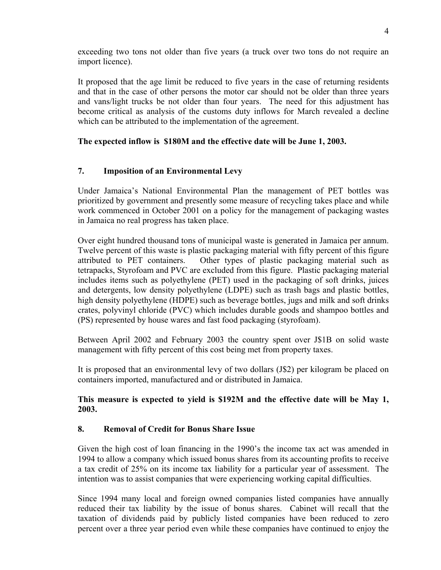exceeding two tons not older than five years (a truck over two tons do not require an import licence).

It proposed that the age limit be reduced to five years in the case of returning residents and that in the case of other persons the motor car should not be older than three years and vans/light trucks be not older than four years. The need for this adjustment has become critical as analysis of the customs duty inflows for March revealed a decline which can be attributed to the implementation of the agreement.

### **The expected inflow is \$180M and the effective date will be June 1, 2003.**

### **7. Imposition of an Environmental Levy**

Under Jamaica's National Environmental Plan the management of PET bottles was prioritized by government and presently some measure of recycling takes place and while work commenced in October 2001 on a policy for the management of packaging wastes in Jamaica no real progress has taken place.

Over eight hundred thousand tons of municipal waste is generated in Jamaica per annum. Twelve percent of this waste is plastic packaging material with fifty percent of this figure attributed to PET containers. Other types of plastic packaging material such as tetrapacks, Styrofoam and PVC are excluded from this figure. Plastic packaging material includes items such as polyethylene (PET) used in the packaging of soft drinks, juices and detergents, low density polyethylene (LDPE) such as trash bags and plastic bottles, high density polyethylene (HDPE) such as beverage bottles, jugs and milk and soft drinks crates, polyvinyl chloride (PVC) which includes durable goods and shampoo bottles and (PS) represented by house wares and fast food packaging (styrofoam).

Between April 2002 and February 2003 the country spent over J\$1B on solid waste management with fifty percent of this cost being met from property taxes.

It is proposed that an environmental levy of two dollars (J\$2) per kilogram be placed on containers imported, manufactured and or distributed in Jamaica.

#### **This measure is expected to yield is \$192M and the effective date will be May 1, 2003.**

### **8. Removal of Credit for Bonus Share Issue**

Given the high cost of loan financing in the 1990's the income tax act was amended in 1994 to allow a company which issued bonus shares from its accounting profits to receive a tax credit of 25% on its income tax liability for a particular year of assessment. The intention was to assist companies that were experiencing working capital difficulties.

Since 1994 many local and foreign owned companies listed companies have annually reduced their tax liability by the issue of bonus shares. Cabinet will recall that the taxation of dividends paid by publicly listed companies have been reduced to zero percent over a three year period even while these companies have continued to enjoy the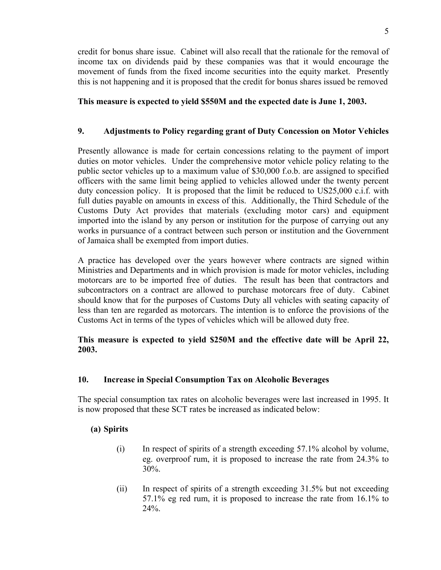5

credit for bonus share issue. Cabinet will also recall that the rationale for the removal of income tax on dividends paid by these companies was that it would encourage the movement of funds from the fixed income securities into the equity market. Presently this is not happening and it is proposed that the credit for bonus shares issued be removed

### **This measure is expected to yield \$550M and the expected date is June 1, 2003.**

### **9. Adjustments to Policy regarding grant of Duty Concession on Motor Vehicles**

Presently allowance is made for certain concessions relating to the payment of import duties on motor vehicles. Under the comprehensive motor vehicle policy relating to the public sector vehicles up to a maximum value of \$30,000 f.o.b. are assigned to specified officers with the same limit being applied to vehicles allowed under the twenty percent duty concession policy. It is proposed that the limit be reduced to US25,000 c.i.f. with full duties payable on amounts in excess of this. Additionally, the Third Schedule of the Customs Duty Act provides that materials (excluding motor cars) and equipment imported into the island by any person or institution for the purpose of carrying out any works in pursuance of a contract between such person or institution and the Government of Jamaica shall be exempted from import duties.

A practice has developed over the years however where contracts are signed within Ministries and Departments and in which provision is made for motor vehicles, including motorcars are to be imported free of duties. The result has been that contractors and subcontractors on a contract are allowed to purchase motorcars free of duty. Cabinet should know that for the purposes of Customs Duty all vehicles with seating capacity of less than ten are regarded as motorcars. The intention is to enforce the provisions of the Customs Act in terms of the types of vehicles which will be allowed duty free.

### **This measure is expected to yield \$250M and the effective date will be April 22, 2003.**

### **10. Increase in Special Consumption Tax on Alcoholic Beverages**

The special consumption tax rates on alcoholic beverages were last increased in 1995. It is now proposed that these SCT rates be increased as indicated below:

#### **(a) Spirits**

- $(i)$  In respect of spirits of a strength exceeding 57.1% alcohol by volume, eg. overproof rum, it is proposed to increase the rate from 24.3% to 30%.
- (ii) In respect of spirits of a strength exceeding 31.5% but not exceeding 57.1% eg red rum, it is proposed to increase the rate from 16.1% to 24%.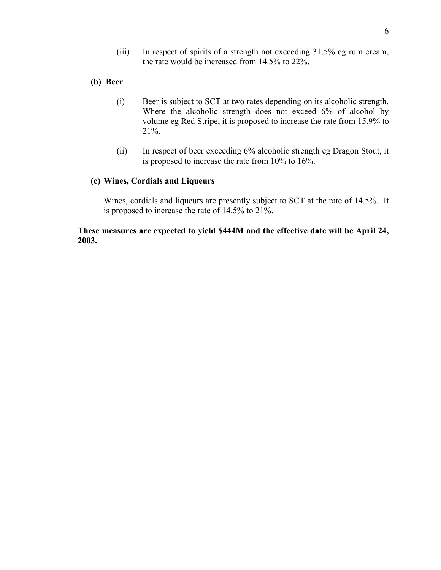(iii) In respect of spirits of a strength not exceeding 31.5% eg rum cream, the rate would be increased from 14.5% to 22%.

#### **(b) Beer**

- (i) Beer is subject to SCT at two rates depending on its alcoholic strength. Where the alcoholic strength does not exceed 6% of alcohol by volume eg Red Stripe, it is proposed to increase the rate from 15.9% to 21%.
- (ii) In respect of beer exceeding 6% alcoholic strength eg Dragon Stout, it is proposed to increase the rate from 10% to 16%.

#### **(c) Wines, Cordials and Liqueurs**

Wines, cordials and liqueurs are presently subject to SCT at the rate of 14.5%. It is proposed to increase the rate of 14.5% to 21%.

#### **These measures are expected to yield \$444M and the effective date will be April 24, 2003.**